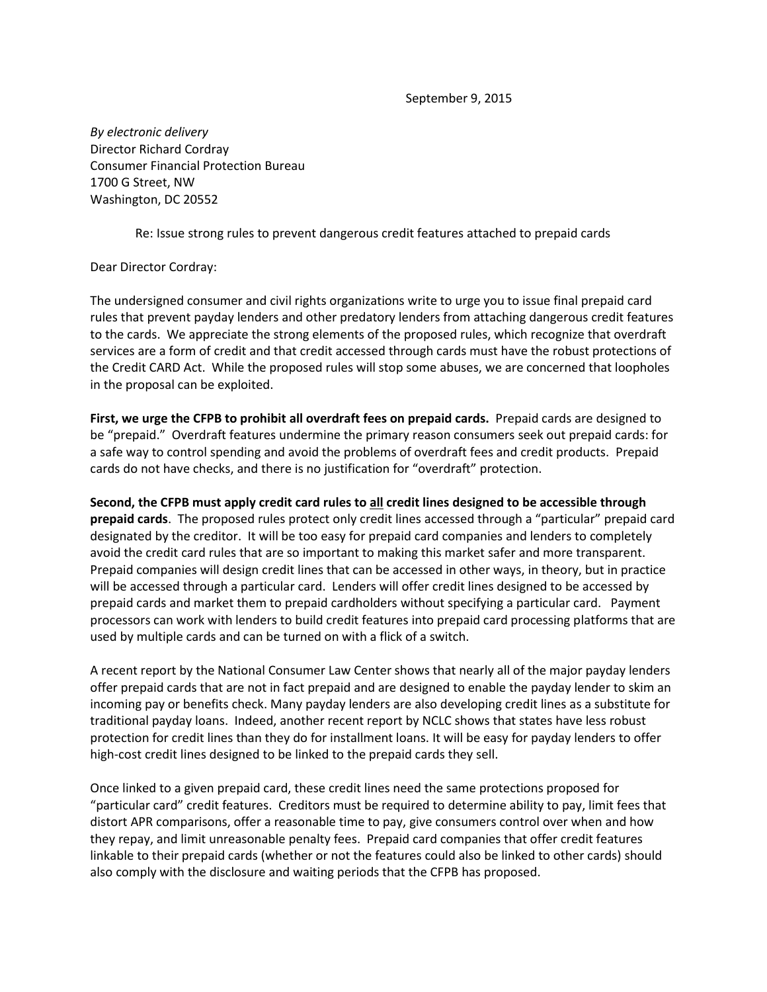September 9, 2015

*By electronic delivery* Director Richard Cordray Consumer Financial Protection Bureau 1700 G Street, NW Washington, DC 20552

Re: Issue strong rules to prevent dangerous credit features attached to prepaid cards

## Dear Director Cordray:

The undersigned consumer and civil rights organizations write to urge you to issue final prepaid card rules that prevent payday lenders and other predatory lenders from attaching dangerous credit features to the cards. We appreciate the strong elements of the proposed rules, which recognize that overdraft services are a form of credit and that credit accessed through cards must have the robust protections of the Credit CARD Act. While the proposed rules will stop some abuses, we are concerned that loopholes in the proposal can be exploited.

**First, we urge the CFPB to prohibit all overdraft fees on prepaid cards.** Prepaid cards are designed to be "prepaid." Overdraft features undermine the primary reason consumers seek out prepaid cards: for a safe way to control spending and avoid the problems of overdraft fees and credit products. Prepaid cards do not have checks, and there is no justification for "overdraft" protection.

**Second, the CFPB must apply credit card rules to all credit lines designed to be accessible through prepaid cards**. The proposed rules protect only credit lines accessed through a "particular" prepaid card designated by the creditor. It will be too easy for prepaid card companies and lenders to completely avoid the credit card rules that are so important to making this market safer and more transparent. Prepaid companies will design credit lines that can be accessed in other ways, in theory, but in practice will be accessed through a particular card. Lenders will offer credit lines designed to be accessed by prepaid cards and market them to prepaid cardholders without specifying a particular card. Payment processors can work with lenders to build credit features into prepaid card processing platforms that are used by multiple cards and can be turned on with a flick of a switch.

A recent report by the National Consumer Law Center shows that nearly all of the major payday lenders offer prepaid cards that are not in fact prepaid and are designed to enable the payday lender to skim an incoming pay or benefits check. Many payday lenders are also developing credit lines as a substitute for traditional payday loans. Indeed, another recent report by NCLC shows that states have less robust protection for credit lines than they do for installment loans. It will be easy for payday lenders to offer high-cost credit lines designed to be linked to the prepaid cards they sell.

Once linked to a given prepaid card, these credit lines need the same protections proposed for "particular card" credit features. Creditors must be required to determine ability to pay, limit fees that distort APR comparisons, offer a reasonable time to pay, give consumers control over when and how they repay, and limit unreasonable penalty fees. Prepaid card companies that offer credit features linkable to their prepaid cards (whether or not the features could also be linked to other cards) should also comply with the disclosure and waiting periods that the CFPB has proposed.